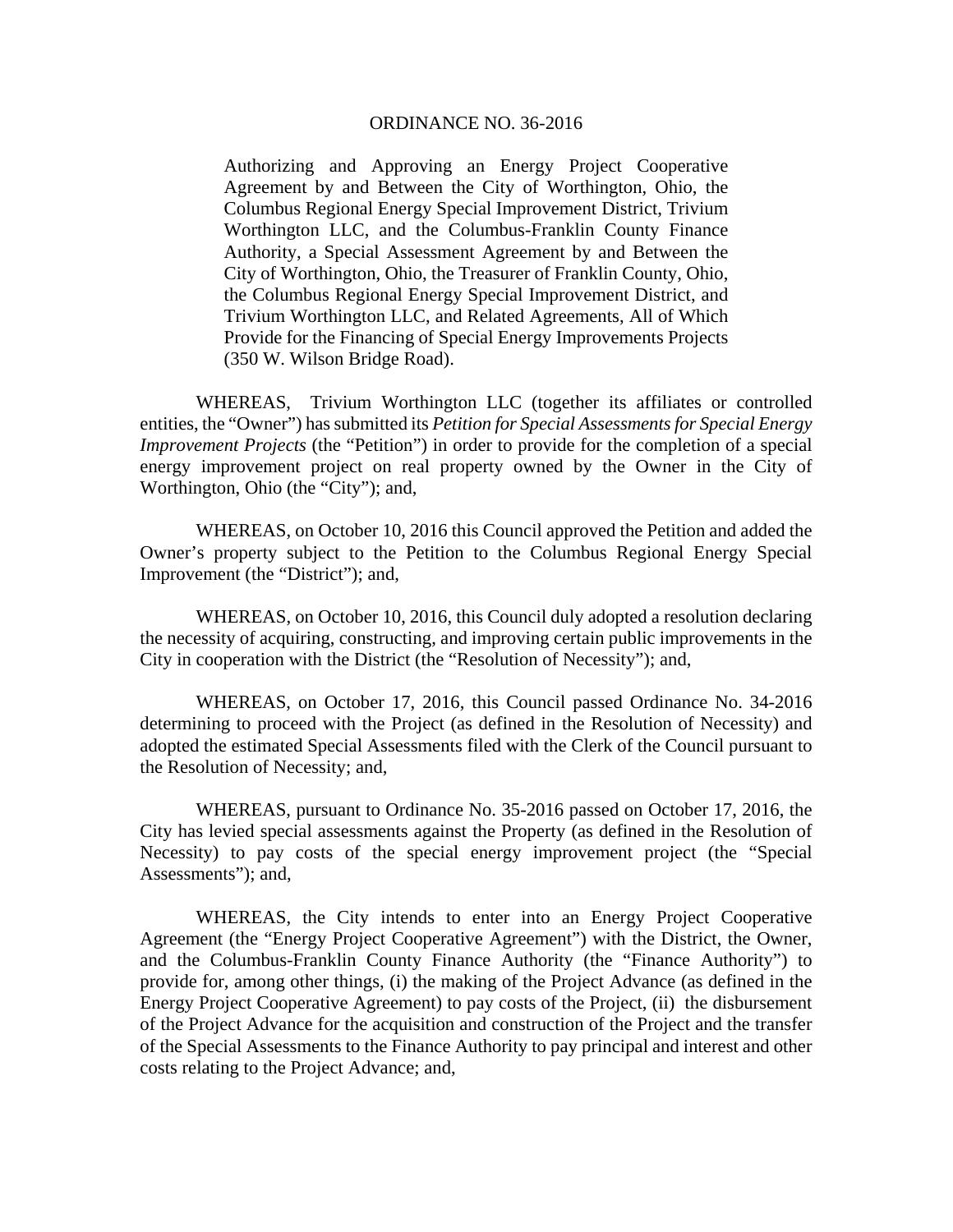## ORDINANCE NO. 36-2016

Authorizing and Approving an Energy Project Cooperative Agreement by and Between the City of Worthington, Ohio, the Columbus Regional Energy Special Improvement District, Trivium Worthington LLC, and the Columbus-Franklin County Finance Authority, a Special Assessment Agreement by and Between the City of Worthington, Ohio, the Treasurer of Franklin County, Ohio, the Columbus Regional Energy Special Improvement District, and Trivium Worthington LLC, and Related Agreements, All of Which Provide for the Financing of Special Energy Improvements Projects (350 W. Wilson Bridge Road).

WHEREAS, Trivium Worthington LLC (together its affiliates or controlled entities, the "Owner") has submitted its *Petition for Special Assessments for Special Energy Improvement Projects* (the "Petition") in order to provide for the completion of a special energy improvement project on real property owned by the Owner in the City of Worthington, Ohio (the "City"); and,

WHEREAS, on October 10, 2016 this Council approved the Petition and added the Owner's property subject to the Petition to the Columbus Regional Energy Special Improvement (the "District"); and,

WHEREAS, on October 10, 2016, this Council duly adopted a resolution declaring the necessity of acquiring, constructing, and improving certain public improvements in the City in cooperation with the District (the "Resolution of Necessity"); and,

WHEREAS, on October 17, 2016, this Council passed Ordinance No. 34-2016 determining to proceed with the Project (as defined in the Resolution of Necessity) and adopted the estimated Special Assessments filed with the Clerk of the Council pursuant to the Resolution of Necessity; and,

WHEREAS, pursuant to Ordinance No. 35-2016 passed on October 17, 2016, the City has levied special assessments against the Property (as defined in the Resolution of Necessity) to pay costs of the special energy improvement project (the "Special Assessments"); and,

WHEREAS, the City intends to enter into an Energy Project Cooperative Agreement (the "Energy Project Cooperative Agreement") with the District, the Owner, and the Columbus-Franklin County Finance Authority (the "Finance Authority") to provide for, among other things, (i) the making of the Project Advance (as defined in the Energy Project Cooperative Agreement) to pay costs of the Project, (ii) the disbursement of the Project Advance for the acquisition and construction of the Project and the transfer of the Special Assessments to the Finance Authority to pay principal and interest and other costs relating to the Project Advance; and,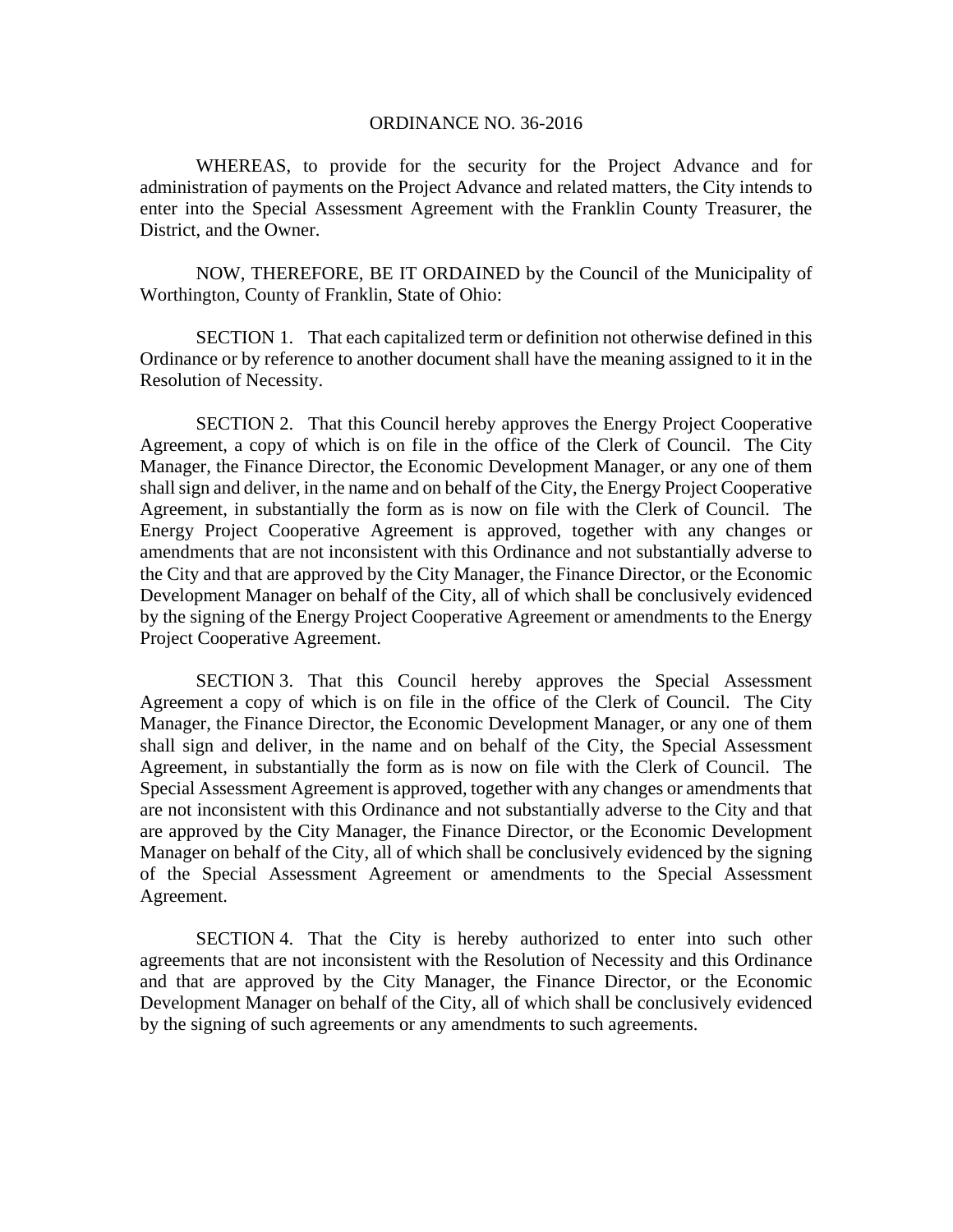## ORDINANCE NO. 36-2016

WHEREAS, to provide for the security for the Project Advance and for administration of payments on the Project Advance and related matters, the City intends to enter into the Special Assessment Agreement with the Franklin County Treasurer, the District, and the Owner.

NOW, THEREFORE, BE IT ORDAINED by the Council of the Municipality of Worthington, County of Franklin, State of Ohio:

SECTION 1. That each capitalized term or definition not otherwise defined in this Ordinance or by reference to another document shall have the meaning assigned to it in the Resolution of Necessity.

SECTION 2. That this Council hereby approves the Energy Project Cooperative Agreement, a copy of which is on file in the office of the Clerk of Council. The City Manager, the Finance Director, the Economic Development Manager, or any one of them shall sign and deliver, in the name and on behalf of the City, the Energy Project Cooperative Agreement, in substantially the form as is now on file with the Clerk of Council. The Energy Project Cooperative Agreement is approved, together with any changes or amendments that are not inconsistent with this Ordinance and not substantially adverse to the City and that are approved by the City Manager, the Finance Director, or the Economic Development Manager on behalf of the City, all of which shall be conclusively evidenced by the signing of the Energy Project Cooperative Agreement or amendments to the Energy Project Cooperative Agreement.

SECTION 3. That this Council hereby approves the Special Assessment Agreement a copy of which is on file in the office of the Clerk of Council. The City Manager, the Finance Director, the Economic Development Manager, or any one of them shall sign and deliver, in the name and on behalf of the City, the Special Assessment Agreement, in substantially the form as is now on file with the Clerk of Council. The Special Assessment Agreement is approved, together with any changes or amendments that are not inconsistent with this Ordinance and not substantially adverse to the City and that are approved by the City Manager, the Finance Director, or the Economic Development Manager on behalf of the City, all of which shall be conclusively evidenced by the signing of the Special Assessment Agreement or amendments to the Special Assessment Agreement.

SECTION 4. That the City is hereby authorized to enter into such other agreements that are not inconsistent with the Resolution of Necessity and this Ordinance and that are approved by the City Manager, the Finance Director, or the Economic Development Manager on behalf of the City, all of which shall be conclusively evidenced by the signing of such agreements or any amendments to such agreements.